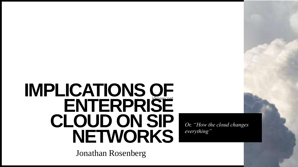# **jdrosen.net ENTERPRISE IMPLICATIONS OF CLOUD ON SIP NETWORKS**

Jonathan Rosenberg

*Or, "How the cloud changes everything"*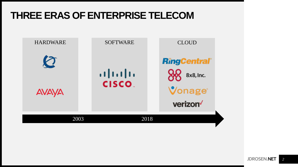## **THREE ERAS OF ENTERPRISE TELECOM**

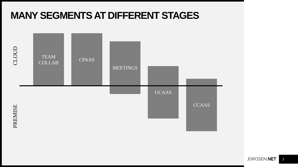## **MANY SEGMENTS AT DIFFERENT STAGES**

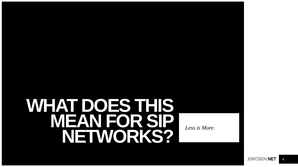# **WHAT DOES THIS MEAN FOR SIP NETWORKS?** *Less is More.*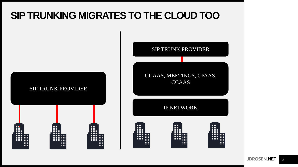## **SIP TRUNKING MIGRATES TO THE CLOUD TOO**



**JDROSEN.NET** *5*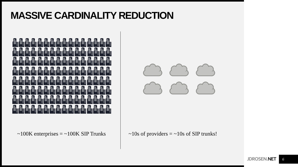## **MASSIVE CARDINALITY REDUCTION**



 $\sim$ 100K enterprises = ~100K SIP Trunks  $\sim$  10s of providers = ~10s of SIP trunks!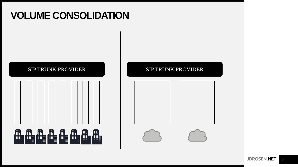## **VOLUME CONSOLIDATION**



#### SIP TRUNK PROVIDER SIP TRUNK PROVIDER

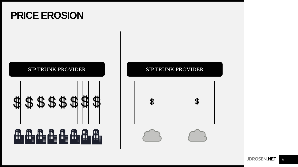## **PRICE EROSION**



#### SIP TRUNK PROVIDER SIP TRUNK PROVIDER

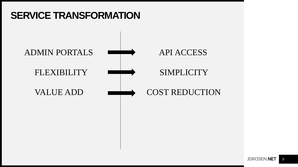## **SERVICE TRANSFORMATION**

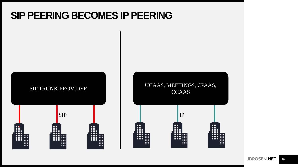## **SIP PEERING BECOMES IP PEERING**



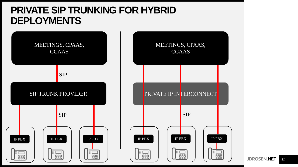## **PRIVATE SIP TRUNKING FOR HYBRID DEPLOYMENTS**





**JDROSEN.NET** *11*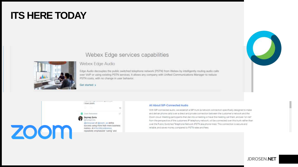## **ITS HERE TODAY**

#### Webex Edge services capabilities



#### Webex Edge Audio

Edge Audio decouples the public switched telephone network (PSTN) from Webex by intelligently routing audio calls over VoIP or using existing PSTN services. It allows any company with Unified Communications Manager to reduce PSTN costs, with no change in user behavior.

Get started >



#### All About SIP-Connected Audio

With SIP-connected audio, we establish a SIP trunk (a network connection specifically designed to make and deliver phone calls) over a direct and private connection between the customer's network and the Zoom cloud. Meeting participants that dial into a meeting or have the meeting call them, and are "on net" from the perspective of the customers IP telephony network, will be connected over this trunk rather than over the Public Switched Telephone Network (PSTN aka phone lines). This connection is secure and reliable, and saves money compared to PSTN rates and fees.

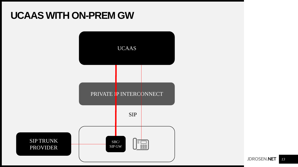## **UCAAS WITH ON-PREM GW**



**JDROSEN.NET** *13*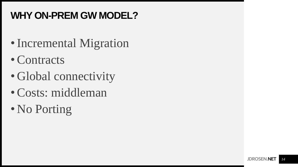## **WHY ON-PREM GW MODEL?**

- Incremental Migration
- Contracts
- Global connectivity
- Costs: middleman
- No Porting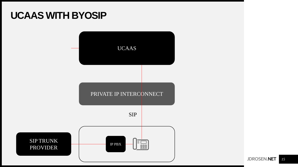## **UCAAS WITH BYOSIP**

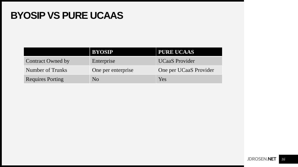## **BYOSIP VS PURE UCAAS**

|                          | <b>BYOSIP</b>      | <b>PURE UCAAS</b>      |
|--------------------------|--------------------|------------------------|
| <b>Contract Owned by</b> | Enterprise         | <b>UCaaS</b> Provider  |
| Number of Trunks         | One per enterprise | One per UCaaS Provider |
| <b>Requires Porting</b>  | N <sub>0</sub>     | Yes                    |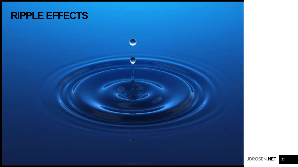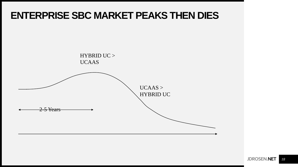## **ENTERPRISE SBC MARKET PEAKS THEN DIES**

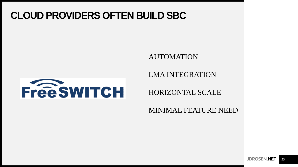## **CLOUD PROVIDERS OFTEN BUILD SBC**

#### AUTOMATION



LMA INTEGRATION

HORIZONTAL SCALE

MINIMAL FEATURE NEED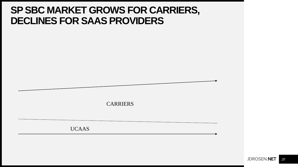## **SPSBC MARKET GROWS FOR CARRIERS, DECLINES FOR SAAS PROVIDERS**

CARRIERS

UCAAS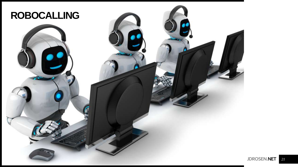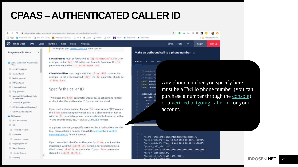## **CPAAS –AUTHENTICATED CALLER ID**

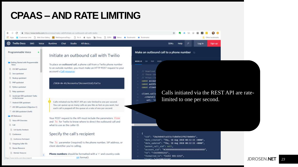## **CPAAS –AND RATE LIMITING**

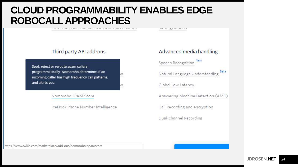## **CLOUD PROGRAMMABILITY ENABLES EDGE ROBOCALL APPROACHES**

n

n

**TWO FRANCISCO DISPOSE CAMPA NEW ARTISTICS** 

493 COUNTY CAN A CAN A CHARGE

#### Third party API add-ons

Spot, reject or reroute spam callers programmatically. Nomorobo determines if an incoming caller has high frequency call patterns, and alerts you.

Nomorobo SPAM Score

IceHook Phone Number Intelligence

#### Advanced media handling

Speech Recognition New

Natural Language Understanding

Global Low Latency

Answering Machine Detection (AMD)

Call Recording and encryption

Dual-channel Recording

https://www.twilio.com/marketplace/add-ons/nomorobo-spamscore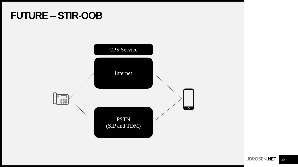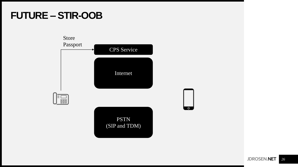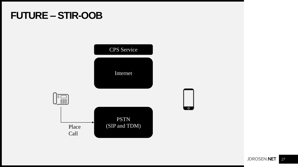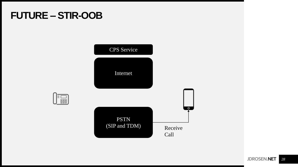**Tase** 

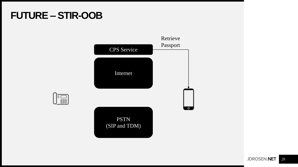

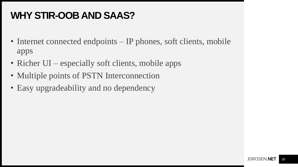## **WHY STIR-OOB AND SAAS?**

- Internet connected endpoints IP phones, soft clients, mobile apps
- Richer UI especially soft clients, mobile apps
- Multiple points of PSTN Interconnection
- Easy upgradeability and no dependency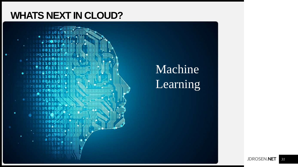## **WHATS NEXT IN CLOUD?**

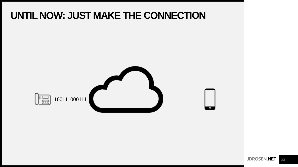## **UNTIL NOW: JUST MAKE THE CONNECTION**

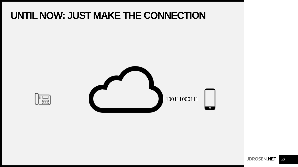## **UNTIL NOW: JUST MAKE THE CONNECTION**



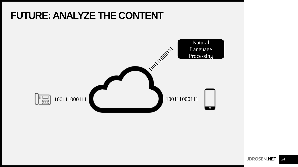## **FUTURE: ANALYZE THE CONTENT**

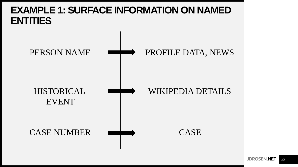## **EXAMPLE 1: SURFACE INFORMATION ON NAMED ENTITIES**

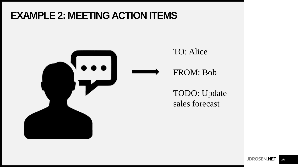## **EXAMPLE 2: MEETING ACTION ITEMS**



### TO: Alice

### FROM: Bob

TODO: Update sales forecast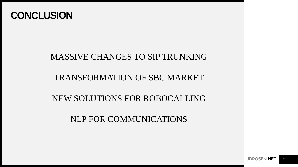

### MASSIVE CHANGES TO SIP TRUNKING

### TRANSFORMATION OF SBC MARKET

### NEW SOLUTIONS FOR ROBOCALLING

NLP FOR COMMUNICATIONS

**JDROSEN.NET** *37*